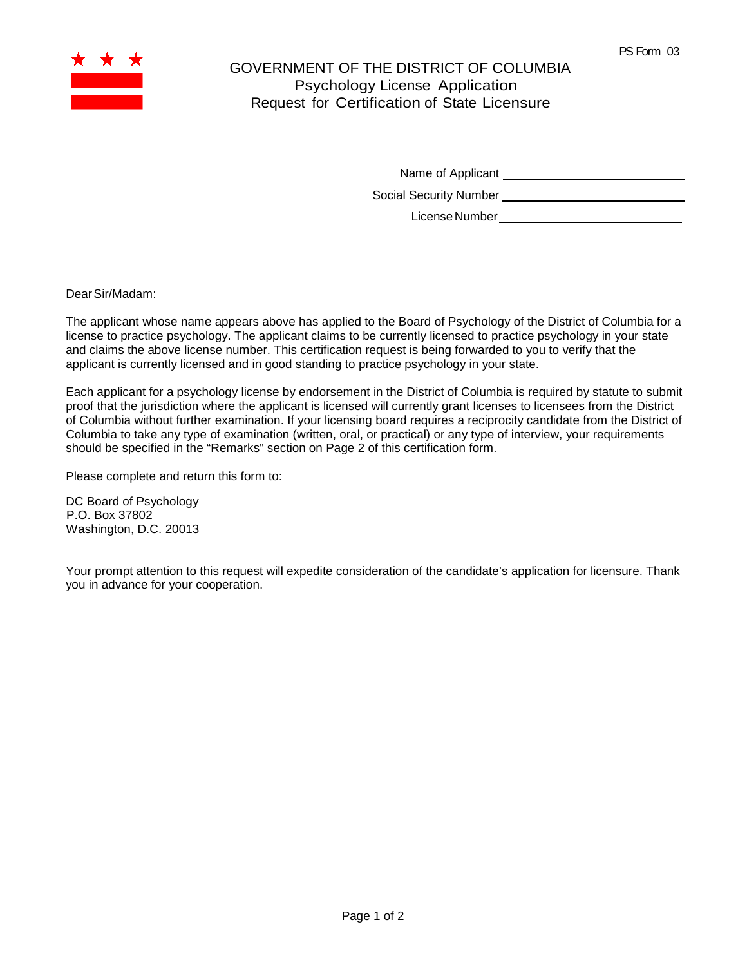

## GOVERNMENT OF THE DISTRICT OF COLUMBIA Psychology License Application Request for Certification of State Licensure

Name of Applicant

Social Security Number

LicenseNumber

DearSir/Madam:

The applicant whose name appears above has applied to the Board of Psychology of the District of Columbia for a license to practice psychology. The applicant claims to be currently licensed to practice psychology in your state and claims the above license number. This certification request is being forwarded to you to verify that the applicant is currently licensed and in good standing to practice psychology in your state.

Each applicant for a psychology license by endorsement in the District of Columbia is required by statute to submit proof that the jurisdiction where the applicant is licensed will currently grant licenses to licensees from the District of Columbia without further examination. If your licensing board requires a reciprocity candidate from the District of Columbia to take any type of examination (written, oral, or practical) or any type of interview, your requirements should be specified in the "Remarks" section on Page 2 of this certification form.

Please complete and return this form to:

DC Board of Psychology P.O. Box 37802 Washington, D.C. 20013

Your prompt attention to this request will expedite consideration of the candidate's application for licensure. Thank you in advance for your cooperation.